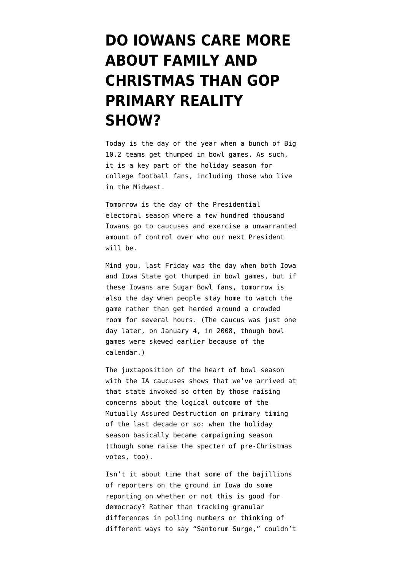## **[DO IOWANS CARE MORE](https://www.emptywheel.net/2012/01/02/do-iowans-care-more-about-family-and-christmas-than-gop-primary-reality-show/) [ABOUT FAMILY AND](https://www.emptywheel.net/2012/01/02/do-iowans-care-more-about-family-and-christmas-than-gop-primary-reality-show/) [CHRISTMAS THAN GOP](https://www.emptywheel.net/2012/01/02/do-iowans-care-more-about-family-and-christmas-than-gop-primary-reality-show/) [PRIMARY REALITY](https://www.emptywheel.net/2012/01/02/do-iowans-care-more-about-family-and-christmas-than-gop-primary-reality-show/) [SHOW?](https://www.emptywheel.net/2012/01/02/do-iowans-care-more-about-family-and-christmas-than-gop-primary-reality-show/)**

Today is the day of the year when a bunch of Big 10.2 teams get thumped in bowl games. As such, it is a key part of the holiday season for college football fans, including those who live in the Midwest.

Tomorrow is the day of the Presidential electoral season where a few hundred thousand Iowans go to caucuses and exercise a unwarranted amount of control over who our next President will be.

Mind you, last Friday was the day when both Iowa and Iowa State got thumped in bowl games, but if these Iowans are Sugar Bowl fans, tomorrow is also the day when people stay home to watch the game rather than get herded around a crowded room for several hours. (The caucus was just one day later, on January 4, in 2008, though [bowl](http://sports.espn.go.com/ncf/news/story?id=2836420) [games were skewed earlier](http://sports.espn.go.com/ncf/news/story?id=2836420) because of the calendar.)

The juxtaposition of the heart of bowl season with the IA caucuses shows that we've arrived at that state invoked so often by those raising concerns about the logical outcome of the Mutually Assured Destruction on primary timing of the last decade or so: when the holiday season basically became campaigning season (though some raise the specter of pre-Christmas votes, too).

Isn't it about time that some of the bajillions of reporters on the ground in Iowa do some reporting on whether or not this is good for democracy? Rather than tracking granular differences in polling numbers or thinking of different ways to say "Santorum Surge," couldn't